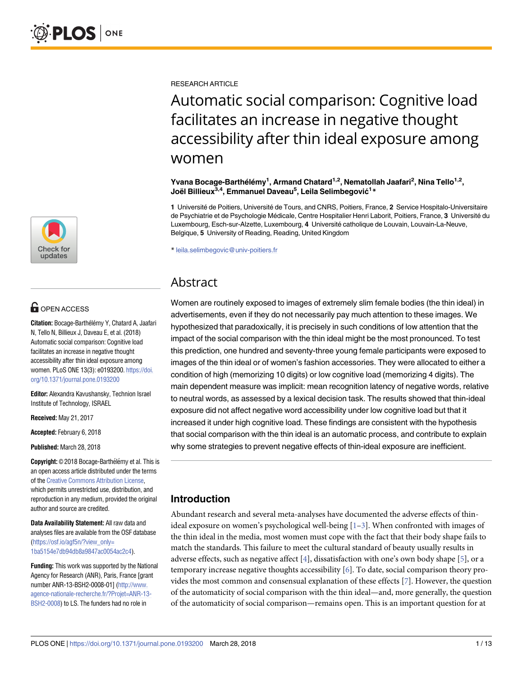

# **OPEN ACCESS**

**Citation:** Bocage-Barthélémy Y, Chatard A, Jaafari N, Tello N, Billieux J, Daveau E, et al. (2018) Automatic social comparison: Cognitive load facilitates an increase in negative thought accessibility after thin ideal exposure among women. PLoS ONE 13(3): e0193200. [https://doi.](https://doi.org/10.1371/journal.pone.0193200) [org/10.1371/journal.pone.0193200](https://doi.org/10.1371/journal.pone.0193200)

**Editor:** Alexandra Kavushansky, Technion Israel Institute of Technology, ISRAEL

**Received:** May 21, 2017

**Accepted:** February 6, 2018

**Published:** March 28, 2018

**Copyright:** © 2018 Bocage-Barthélémy et al. This is an open access article distributed under the terms of the Creative [Commons](http://creativecommons.org/licenses/by/4.0/) Attribution License, which permits unrestricted use, distribution, and reproduction in any medium, provided the original author and source are credited.

**Data Availability Statement:** All raw data and analyses files are available from the OSF database [\(https://osf.io/agf5n/?view\\_only=](https://osf.io/agf5n/?view_only=1ba5154e7db94db8a9847ac0054ac2c4) [1ba5154e7db94db8a9847ac0054ac2c4\)](https://osf.io/agf5n/?view_only=1ba5154e7db94db8a9847ac0054ac2c4).

**Funding:** This work was supported by the National Agency for Research (ANR), Paris, France [grant number ANR-13-BSH2-0008-01] [\(http://www.](http://www.agence-nationale-recherche.fr/?Projet=ANR-13-BSH2-0008) [agence-nationale-recherche.fr/?Projet=ANR-13-](http://www.agence-nationale-recherche.fr/?Projet=ANR-13-BSH2-0008) [BSH2-0008\)](http://www.agence-nationale-recherche.fr/?Projet=ANR-13-BSH2-0008) to LS. The funders had no role in

<span id="page-0-0"></span>RESEARCH ARTICLE

# Automatic social comparison: Cognitive load facilitates an increase in negative thought accessibility after thin ideal exposure among women

**Yvana Bocage-Barthe´le´my1 , Armand Chatard1,2, Nematollah Jaafari2 , Nina Tello1,2, Joe¨l Billieux3,4, Emmanuel Daveau5 , Leila Selimbegović<sup>1</sup> \***

**1** Universite´ de Poitiers, Universite´ de Tours, and CNRS, Poitiers, France, **2** Service Hospitalo-Universitaire de Psychiatrie et de Psychologie Médicale, Centre Hospitalier Henri Laborit, Poitiers, France, 3 Université du Luxembourg, Esch-sur-Alzette, Luxembourg, 4 Université catholique de Louvain, Louvain-La-Neuve, Belgique, **5** University of Reading, Reading, United Kingdom

\* leila.selimbegovic@univ-poitiers.fr

# Abstract

Women are routinely exposed to images of extremely slim female bodies (the thin ideal) in advertisements, even if they do not necessarily pay much attention to these images. We hypothesized that paradoxically, it is precisely in such conditions of low attention that the impact of the social comparison with the thin ideal might be the most pronounced. To test this prediction, one hundred and seventy-three young female participants were exposed to images of the thin ideal or of women's fashion accessories. They were allocated to either a condition of high (memorizing 10 digits) or low cognitive load (memorizing 4 digits). The main dependent measure was implicit: mean recognition latency of negative words, relative to neutral words, as assessed by a lexical decision task. The results showed that thin-ideal exposure did not affect negative word accessibility under low cognitive load but that it increased it under high cognitive load. These findings are consistent with the hypothesis that social comparison with the thin ideal is an automatic process, and contribute to explain why some strategies to prevent negative effects of thin-ideal exposure are inefficient.

## **Introduction**

Abundant research and several meta-analyses have documented the adverse effects of thinideal exposure on women's psychological well-being  $[1-3]$ . When confronted with images of the thin ideal in the media, most women must cope with the fact that their body shape fails to match the standards. This failure to meet the cultural standard of beauty usually results in adverse effects, such as negative affect  $[4]$  $[4]$ , dissatisfaction with one's own body shape  $[5]$  $[5]$ , or a temporary increase negative thoughts accessibility [[6](#page-10-0)]. To date, social comparison theory provides the most common and consensual explanation of these effects [\[7](#page-10-0)]. However, the question of the automaticity of social comparison with the thin ideal—and, more generally, the question of the automaticity of social comparison—remains open. This is an important question for at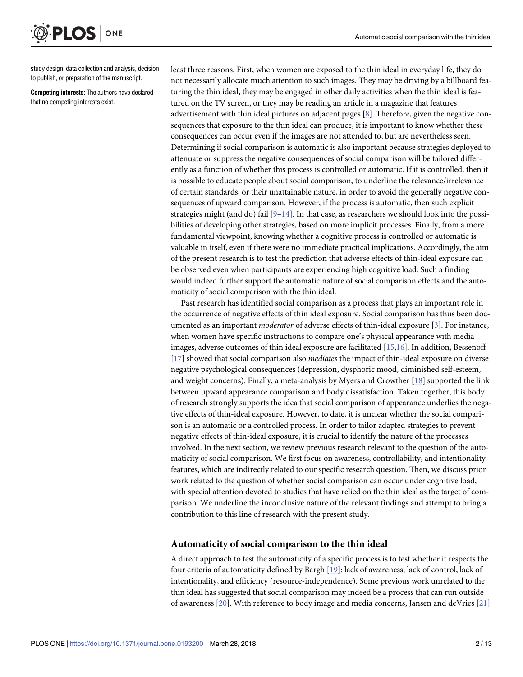study design, data collection and analysis, decision to publish, or preparation of the manuscript.

ONE

<span id="page-1-0"></span>PLOSI

**Competing interests:** The authors have declared that no competing interests exist.

least three reasons. First, when women are exposed to the thin ideal in everyday life, they do not necessarily allocate much attention to such images. They may be driving by a billboard featuring the thin ideal, they may be engaged in other daily activities when the thin ideal is featured on the TV screen, or they may be reading an article in a magazine that features advertisement with thin ideal pictures on adjacent pages [[8\]](#page-10-0). Therefore, given the negative consequences that exposure to the thin ideal can produce, it is important to know whether these consequences can occur even if the images are not attended to, but are nevertheless seen. Determining if social comparison is automatic is also important because strategies deployed to attenuate or suppress the negative consequences of social comparison will be tailored differently as a function of whether this process is controlled or automatic. If it is controlled, then it is possible to educate people about social comparison, to underline the relevance/irrelevance of certain standards, or their unattainable nature, in order to avoid the generally negative consequences of upward comparison. However, if the process is automatic, then such explicit strategies might (and do) fail  $[9-14]$ . In that case, as researchers we should look into the possibilities of developing other strategies, based on more implicit processes. Finally, from a more fundamental viewpoint, knowing whether a cognitive process is controlled or automatic is valuable in itself, even if there were no immediate practical implications. Accordingly, the aim of the present research is to test the prediction that adverse effects of thin-ideal exposure can be observed even when participants are experiencing high cognitive load. Such a finding would indeed further support the automatic nature of social comparison effects and the automaticity of social comparison with the thin ideal.

Past research has identified social comparison as a process that plays an important role in the occurrence of negative effects of thin ideal exposure. Social comparison has thus been documented as an important *moderator* of adverse effects of thin-ideal exposure [\[3](#page-10-0)]. For instance, when women have specific instructions to compare one's physical appearance with media images, adverse outcomes of thin ideal exposure are facilitated [\[15,16\]](#page-10-0). In addition, Bessenoff [\[17\]](#page-10-0) showed that social comparison also *mediates* the impact of thin-ideal exposure on diverse negative psychological consequences (depression, dysphoric mood, diminished self-esteem, and weight concerns). Finally, a meta-analysis by Myers and Crowther [\[18\]](#page-11-0) supported the link between upward appearance comparison and body dissatisfaction. Taken together, this body of research strongly supports the idea that social comparison of appearance underlies the negative effects of thin-ideal exposure. However, to date, it is unclear whether the social comparison is an automatic or a controlled process. In order to tailor adapted strategies to prevent negative effects of thin-ideal exposure, it is crucial to identify the nature of the processes involved. In the next section, we review previous research relevant to the question of the automaticity of social comparison. We first focus on awareness, controllability, and intentionality features, which are indirectly related to our specific research question. Then, we discuss prior work related to the question of whether social comparison can occur under cognitive load, with special attention devoted to studies that have relied on the thin ideal as the target of comparison. We underline the inconclusive nature of the relevant findings and attempt to bring a contribution to this line of research with the present study.

#### **Automaticity of social comparison to the thin ideal**

A direct approach to test the automaticity of a specific process is to test whether it respects the four criteria of automaticity defined by Bargh [\[19\]](#page-11-0): lack of awareness, lack of control, lack of intentionality, and efficiency (resource-independence). Some previous work unrelated to the thin ideal has suggested that social comparison may indeed be a process that can run outside of awareness [\[20\]](#page-11-0). With reference to body image and media concerns, Jansen and deVries [\[21\]](#page-11-0)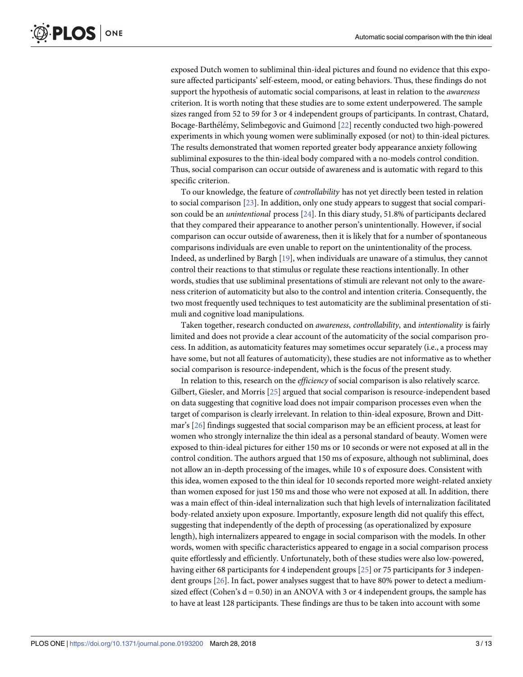<span id="page-2-0"></span>exposed Dutch women to subliminal thin-ideal pictures and found no evidence that this exposure affected participants' self-esteem, mood, or eating behaviors. Thus, these findings do not support the hypothesis of automatic social comparisons, at least in relation to the *awareness* criterion. It is worth noting that these studies are to some extent underpowered. The sample sizes ranged from 52 to 59 for 3 or 4 independent groups of participants. In contrast, Chatard, Bocage-Barthélémy, Selimbegovic and Guimond [\[22\]](#page-11-0) recently conducted two high-powered experiments in which young women were subliminally exposed (or not) to thin-ideal pictures. The results demonstrated that women reported greater body appearance anxiety following subliminal exposures to the thin-ideal body compared with a no-models control condition. Thus, social comparison can occur outside of awareness and is automatic with regard to this specific criterion.

To our knowledge, the feature of *controllability* has not yet directly been tested in relation to social comparison [\[23\]](#page-11-0). In addition, only one study appears to suggest that social comparison could be an *unintentional* process [\[24\]](#page-11-0). In this diary study, 51.8% of participants declared that they compared their appearance to another person's unintentionally. However, if social comparison can occur outside of awareness, then it is likely that for a number of spontaneous comparisons individuals are even unable to report on the unintentionality of the process. Indeed, as underlined by Bargh [\[19\]](#page-11-0), when individuals are unaware of a stimulus, they cannot control their reactions to that stimulus or regulate these reactions intentionally. In other words, studies that use subliminal presentations of stimuli are relevant not only to the awareness criterion of automaticity but also to the control and intention criteria. Consequently, the two most frequently used techniques to test automaticity are the subliminal presentation of stimuli and cognitive load manipulations.

Taken together, research conducted on *awareness*, *controllability*, and *intentionality* is fairly limited and does not provide a clear account of the automaticity of the social comparison process. In addition, as automaticity features may sometimes occur separately (i.e., a process may have some, but not all features of automaticity), these studies are not informative as to whether social comparison is resource-independent, which is the focus of the present study.

In relation to this, research on the *efficiency* of social comparison is also relatively scarce. Gilbert, Giesler, and Morris [[25](#page-11-0)] argued that social comparison is resource-independent based on data suggesting that cognitive load does not impair comparison processes even when the target of comparison is clearly irrelevant. In relation to thin-ideal exposure, Brown and Dittmar's [[26](#page-11-0)] findings suggested that social comparison may be an efficient process, at least for women who strongly internalize the thin ideal as a personal standard of beauty. Women were exposed to thin-ideal pictures for either 150 ms or 10 seconds or were not exposed at all in the control condition. The authors argued that 150 ms of exposure, although not subliminal, does not allow an in-depth processing of the images, while 10 s of exposure does. Consistent with this idea, women exposed to the thin ideal for 10 seconds reported more weight-related anxiety than women exposed for just 150 ms and those who were not exposed at all. In addition, there was a main effect of thin-ideal internalization such that high levels of internalization facilitated body-related anxiety upon exposure. Importantly, exposure length did not qualify this effect, suggesting that independently of the depth of processing (as operationalized by exposure length), high internalizers appeared to engage in social comparison with the models. In other words, women with specific characteristics appeared to engage in a social comparison process quite effortlessly and efficiently. Unfortunately, both of these studies were also low-powered, having either 68 participants for 4 independent groups [\[25\]](#page-11-0) or 75 participants for 3 independent groups [\[26\]](#page-11-0). In fact, power analyses suggest that to have 80% power to detect a mediumsized effect (Cohen's  $d = 0.50$ ) in an ANOVA with 3 or 4 independent groups, the sample has to have at least 128 participants. These findings are thus to be taken into account with some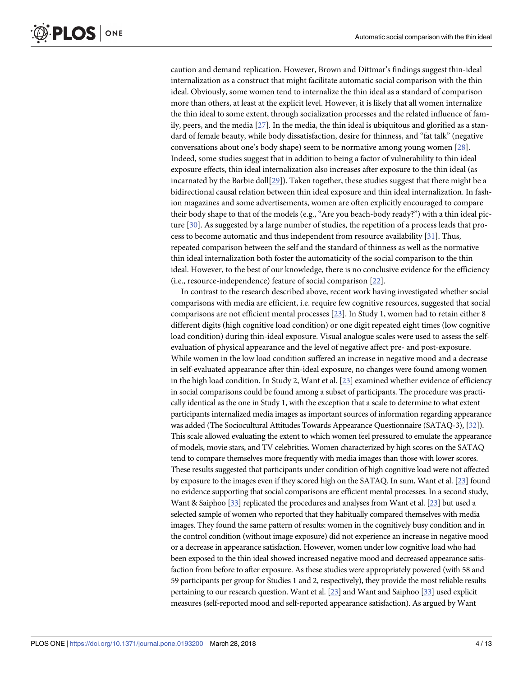<span id="page-3-0"></span>caution and demand replication. However, Brown and Dittmar's findings suggest thin-ideal internalization as a construct that might facilitate automatic social comparison with the thin ideal. Obviously, some women tend to internalize the thin ideal as a standard of comparison more than others, at least at the explicit level. However, it is likely that all women internalize the thin ideal to some extent, through socialization processes and the related influence of family, peers, and the media [[27](#page-11-0)]. In the media, the thin ideal is ubiquitous and glorified as a standard of female beauty, while body dissatisfaction, desire for thinness, and "fat talk" (negative conversations about one's body shape) seem to be normative among young women [[28](#page-11-0)]. Indeed, some studies suggest that in addition to being a factor of vulnerability to thin ideal exposure effects, thin ideal internalization also increases after exposure to the thin ideal (as incarnated by the Barbie doll[\[29\]](#page-11-0)). Taken together, these studies suggest that there might be a bidirectional causal relation between thin ideal exposure and thin ideal internalization. In fashion magazines and some advertisements, women are often explicitly encouraged to compare their body shape to that of the models (e.g., "Are you beach-body ready?") with a thin ideal picture [[30](#page-11-0)]. As suggested by a large number of studies, the repetition of a process leads that process to become automatic and thus independent from resource availability [\[31\]](#page-11-0). Thus, repeated comparison between the self and the standard of thinness as well as the normative thin ideal internalization both foster the automaticity of the social comparison to the thin ideal. However, to the best of our knowledge, there is no conclusive evidence for the efficiency (i.e., resource-independence) feature of social comparison [\[22\]](#page-11-0).

In contrast to the research described above, recent work having investigated whether social comparisons with media are efficient, i.e. require few cognitive resources, suggested that social comparisons are not efficient mental processes [\[23\]](#page-11-0). In Study 1, women had to retain either 8 different digits (high cognitive load condition) or one digit repeated eight times (low cognitive load condition) during thin-ideal exposure. Visual analogue scales were used to assess the selfevaluation of physical appearance and the level of negative affect pre- and post-exposure. While women in the low load condition suffered an increase in negative mood and a decrease in self-evaluated appearance after thin-ideal exposure, no changes were found among women in the high load condition. In Study 2, Want et al. [[23](#page-11-0)] examined whether evidence of efficiency in social comparisons could be found among a subset of participants. The procedure was practically identical as the one in Study 1, with the exception that a scale to determine to what extent participants internalized media images as important sources of information regarding appearance was added (The Sociocultural Attitudes Towards Appearance Questionnaire (SATAQ-3), [\[32](#page-11-0)]). This scale allowed evaluating the extent to which women feel pressured to emulate the appearance of models, movie stars, and TV celebrities. Women characterized by high scores on the SATAQ tend to compare themselves more frequently with media images than those with lower scores. These results suggested that participants under condition of high cognitive load were not affected by exposure to the images even if they scored high on the SATAQ. In sum, Want et al. [\[23](#page-11-0)] found no evidence supporting that social comparisons are efficient mental processes. In a second study, Want & Saiphoo [\[33](#page-11-0)] replicated the procedures and analyses from Want et al. [\[23\]](#page-11-0) but used a selected sample of women who reported that they habitually compared themselves with media images. They found the same pattern of results: women in the cognitively busy condition and in the control condition (without image exposure) did not experience an increase in negative mood or a decrease in appearance satisfaction. However, women under low cognitive load who had been exposed to the thin ideal showed increased negative mood and decreased appearance satisfaction from before to after exposure. As these studies were appropriately powered (with 58 and 59 participants per group for Studies 1 and 2, respectively), they provide the most reliable results pertaining to our research question. Want et al. [\[23](#page-11-0)] and Want and Saiphoo [\[33](#page-11-0)] used explicit measures (self-reported mood and self-reported appearance satisfaction). As argued by Want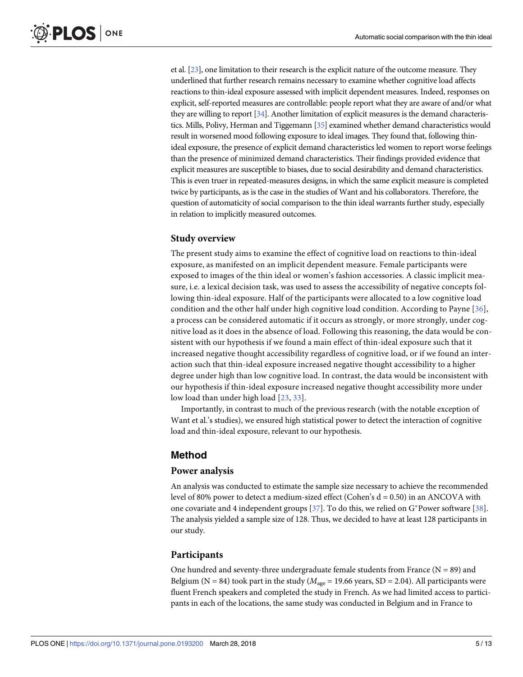<span id="page-4-0"></span>et al. [\[23](#page-11-0)], one limitation to their research is the explicit nature of the outcome measure. They underlined that further research remains necessary to examine whether cognitive load affects reactions to thin-ideal exposure assessed with implicit dependent measures. Indeed, responses on explicit, self-reported measures are controllable: people report what they are aware of and/or what they are willing to report [\[34\]](#page-11-0). Another limitation of explicit measures is the demand characteristics. Mills, Polivy, Herman and Tiggemann [\[35](#page-11-0)] examined whether demand characteristics would result in worsened mood following exposure to ideal images. They found that, following thinideal exposure, the presence of explicit demand characteristics led women to report worse feelings than the presence of minimized demand characteristics. Their findings provided evidence that explicit measures are susceptible to biases, due to social desirability and demand characteristics. This is even truer in repeated-measures designs, in which the same explicit measure is completed twice by participants, as is the case in the studies of Want and his collaborators. Therefore, the question of automaticity of social comparison to the thin ideal warrants further study, especially in relation to implicitly measured outcomes.

#### **Study overview**

The present study aims to examine the effect of cognitive load on reactions to thin-ideal exposure, as manifested on an implicit dependent measure. Female participants were exposed to images of the thin ideal or women's fashion accessories. A classic implicit measure, i.e. a lexical decision task, was used to assess the accessibility of negative concepts following thin-ideal exposure. Half of the participants were allocated to a low cognitive load condition and the other half under high cognitive load condition. According to Payne [\[36\]](#page-11-0), a process can be considered automatic if it occurs as strongly, or more strongly, under cognitive load as it does in the absence of load. Following this reasoning, the data would be consistent with our hypothesis if we found a main effect of thin-ideal exposure such that it increased negative thought accessibility regardless of cognitive load, or if we found an interaction such that thin-ideal exposure increased negative thought accessibility to a higher degree under high than low cognitive load. In contrast, the data would be inconsistent with our hypothesis if thin-ideal exposure increased negative thought accessibility more under low load than under high load [[23,](#page-11-0) [33\]](#page-11-0).

Importantly, in contrast to much of the previous research (with the notable exception of Want et al.'s studies), we ensured high statistical power to detect the interaction of cognitive load and thin-ideal exposure, relevant to our hypothesis.

#### **Method**

#### **Power analysis**

An analysis was conducted to estimate the sample size necessary to achieve the recommended level of 80% power to detect a medium-sized effect (Cohen's  $d = 0.50$ ) in an ANCOVA with one covariate and 4 independent groups  $[37]$ . To do this, we relied on  $G^*$  Power software  $[38]$  $[38]$  $[38]$ . The analysis yielded a sample size of 128. Thus, we decided to have at least 128 participants in our study.

#### **Participants**

One hundred and seventy-three undergraduate female students from France  $(N = 89)$  and Belgium ( $N = 84$ ) took part in the study ( $M_{\text{age}} = 19.66$  years, SD = 2.04). All participants were fluent French speakers and completed the study in French. As we had limited access to participants in each of the locations, the same study was conducted in Belgium and in France to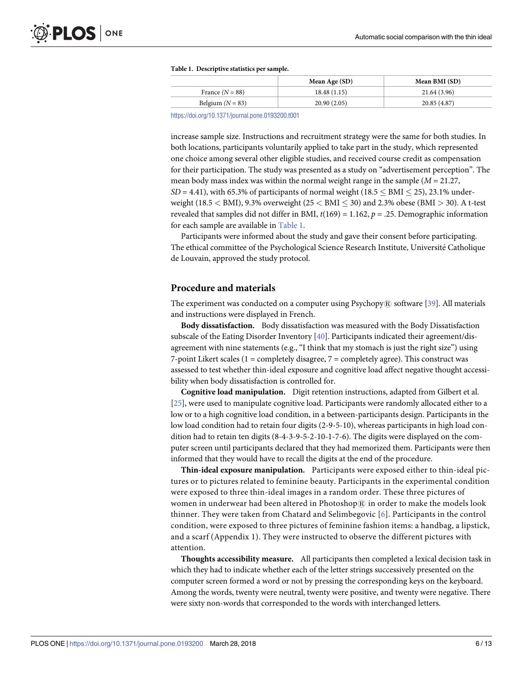#### <span id="page-5-0"></span>**Table 1. Descriptive statistics per sample.**

|                    | Mean Age (SD) | Mean BMI (SD) |
|--------------------|---------------|---------------|
| France $(N = 88)$  | 18.48(1.15)   | 21.64 (3.96)  |
| Belgium $(N = 83)$ | 20.90(2.05)   | 20.85(4.87)   |

<https://doi.org/10.1371/journal.pone.0193200.t001>

increase sample size. Instructions and recruitment strategy were the same for both studies. In both locations, participants voluntarily applied to take part in the study, which represented one choice among several other eligible studies, and received course credit as compensation for their participation. The study was presented as a study on "advertisement perception". The mean body mass index was within the normal weight range in the sample (*M* = 21.27,  $SD = 4.41$ ), with 65.3% of participants of normal weight (18.5  $\leq$  BMI  $\leq$  25), 23.1% underweight (18.5 *<* BMI), 9.3% overweight (25 *<* BMI 30) and 2.3% obese (BMI *>* 30). A t-test revealed that samples did not differ in BMI, *t*(169) = 1.162, *p* = .25. Demographic information for each sample are available in Table 1.

Participants were informed about the study and gave their consent before participating. The ethical committee of the Psychological Science Research Institute, Université Catholique de Louvain, approved the study protocol.

#### **Procedure and materials**

The experiment was conducted on a computer using Psychopy $\Re$  software [[39](#page-11-0)]. All materials and instructions were displayed in French.

**Body dissatisfaction.** Body dissatisfaction was measured with the Body Dissatisfaction subscale of the Eating Disorder Inventory [[40](#page-12-0)]. Participants indicated their agreement/disagreement with nine statements (e.g., "I think that my stomach is just the right size") using 7-point Likert scales  $(1 = \text{completely disagree}, 7 = \text{completely agree})$ . This construct was assessed to test whether thin-ideal exposure and cognitive load affect negative thought accessibility when body dissatisfaction is controlled for.

**Cognitive load manipulation.** Digit retention instructions, adapted from Gilbert et al. [\[25\]](#page-11-0), were used to manipulate cognitive load. Participants were randomly allocated either to a low or to a high cognitive load condition, in a between-participants design. Participants in the low load condition had to retain four digits (2-9-5-10), whereas participants in high load condition had to retain ten digits (8-4-3-9-5-2-10-1-7-6). The digits were displayed on the computer screen until participants declared that they had memorized them. Participants were then informed that they would have to recall the digits at the end of the procedure.

**Thin-ideal exposure manipulation.** Participants were exposed either to thin-ideal pictures or to pictures related to feminine beauty. Participants in the experimental condition were exposed to three thin-ideal images in a random order. These three pictures of women in underwear had been altered in Photoshop $\mathcal{R}$  in order to make the models look thinner. They were taken from Chatard and Selimbegovic [[6](#page-10-0)]. Participants in the control condition, were exposed to three pictures of feminine fashion items: a handbag, a lipstick, and a scarf (Appendix 1). They were instructed to observe the different pictures with attention.

**Thoughts accessibility measure.** All participants then completed a lexical decision task in which they had to indicate whether each of the letter strings successively presented on the computer screen formed a word or not by pressing the corresponding keys on the keyboard. Among the words, twenty were neutral, twenty were positive, and twenty were negative. There were sixty non-words that corresponded to the words with interchanged letters.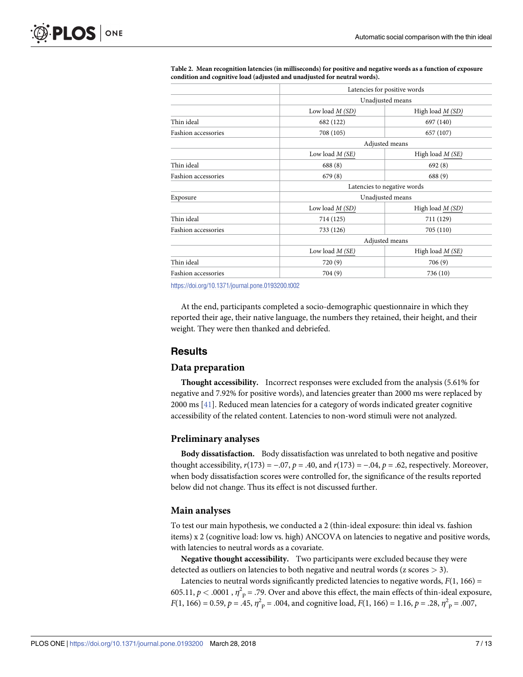|                     | Latencies for positive words<br>Unadjusted means |                         |  |
|---------------------|--------------------------------------------------|-------------------------|--|
|                     |                                                  |                         |  |
|                     | Low load $M(SD)$                                 | High load M (SD)        |  |
| Thin ideal          | 682 (122)                                        | 697 (140)               |  |
| Fashion accessories | 708 (105)                                        | 657 (107)               |  |
|                     | Adjusted means                                   |                         |  |
|                     | Low load $M(SE)$                                 | High load $M(SE)$       |  |
| Thin ideal          | 688 (8)                                          | 692(8)                  |  |
| Fashion accessories | 679(8)                                           | 688 (9)                 |  |
|                     | Latencies to negative words                      |                         |  |
| Exposure            | Unadjusted means                                 |                         |  |
|                     | Low load $M(SD)$                                 | High load M (SD)        |  |
| Thin ideal          | 714 (125)                                        | 711 (129)               |  |
| Fashion accessories | 733 (126)                                        | 705 (110)               |  |
|                     | Adjusted means                                   |                         |  |
|                     | Low load $M(SE)$                                 | High load <i>M</i> (SE) |  |
| Thin ideal          | 720(9)                                           | 706 (9)                 |  |
| Fashion accessories | 704 (9)                                          | 736 (10)                |  |

<span id="page-6-0"></span>[Table](#page-7-0) 2. Mean recognition latencies (in milliseconds) for positive and negative words as a function of exposure **condition and cognitive load (adjusted and unadjusted for neutral words).**

<https://doi.org/10.1371/journal.pone.0193200.t002>

At the end, participants completed a socio-demographic questionnaire in which they reported their age, their native language, the numbers they retained, their height, and their weight. They were then thanked and debriefed.

#### **Results**

#### **Data preparation**

**Thought accessibility.** Incorrect responses were excluded from the analysis (5.61% for negative and 7.92% for positive words), and latencies greater than 2000 ms were replaced by 2000 ms [[41](#page-12-0)]. Reduced mean latencies for a category of words indicated greater cognitive accessibility of the related content. Latencies to non-word stimuli were not analyzed.

#### **Preliminary analyses**

**Body dissatisfaction.** Body dissatisfaction was unrelated to both negative and positive thought accessibility,  $r(173) = -.07$ ,  $p = .40$ , and  $r(173) = -.04$ ,  $p = .62$ , respectively. Moreover, when body dissatisfaction scores were controlled for, the significance of the results reported below did not change. Thus its effect is not discussed further.

#### **Main analyses**

To test our main hypothesis, we conducted a 2 (thin-ideal exposure: thin ideal vs. fashion items) x 2 (cognitive load: low vs. high) ANCOVA on latencies to negative and positive words, with latencies to neutral words as a covariate.

**Negative thought accessibility.** Two participants were excluded because they were detected as outliers on latencies to both negative and neutral words (z scores *>* 3).

Latencies to neutral words significantly predicted latencies to negative words, *F*(1, 166) = 605.11,  $p < .0001$  ,  $\eta^2$ <sub>p</sub> = .79. Over and above this effect, the main effects of thin-ideal exposure, *F*(1, 166) = 0.59, *p* = .45,  $\eta^2$ <sub>p</sub> = .004, and cognitive load, *F*(1, 166) = 1.16, *p* = .28,  $\eta^2$ <sub>p</sub> = .007,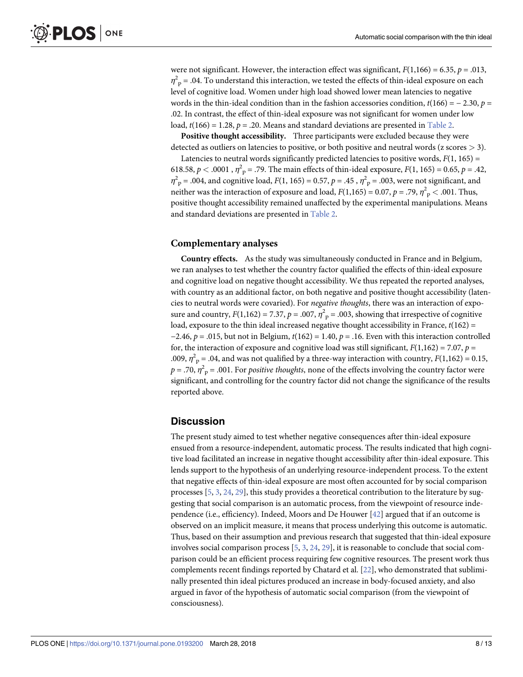<span id="page-7-0"></span>were not significant. However, the interaction effect was significant,  $F(1,166) = 6.35$ ,  $p = .013$ ,  $\eta_{\text{p}}^2$  = .04. To understand this interaction, we tested the effects of thin-ideal exposure on each level of cognitive load. Women under high load showed lower mean latencies to negative words in the thin-ideal condition than in the fashion accessories condition,  $t(166) = -2.30$ ,  $p =$ .02. In contrast, the effect of thin-ideal exposure was not significant for women under low load,  $t(166) = 1.28$ ,  $p = .20$ . Means and standard deviations are presented in [Table](#page-6-0) 2.

**Positive thought accessibility.** Three participants were excluded because they were detected as outliers on latencies to positive, or both positive and neutral words (z scores *>* 3).

Latencies to neutral words significantly predicted latencies to positive words,  $F(1, 165) =$ 618.58,  $p < .0001$ ,  $\eta^2$ <sub>p</sub> = .79. The main effects of thin-ideal exposure,  $F(1, 165) = 0.65$ ,  $p = .42$ ,  $\eta_{\text{p}}^2$  = .004, and cognitive load, *F*(1, 165) = 0.57, *p* = .45,  $\eta_{\text{p}}^2$  = .003, were not significant, and neither was the interaction of exposure and load,  $F(1,165) = 0.07$ ,  $p = .79$ ,  $\eta^2$ <sub>p</sub> < .001. Thus, positive thought accessibility remained unaffected by the experimental manipulations. Means and standard deviations are presented in [Table](#page-6-0) 2.

#### **Complementary analyses**

**Country effects.** As the study was simultaneously conducted in France and in Belgium, we ran analyses to test whether the country factor qualified the effects of thin-ideal exposure and cognitive load on negative thought accessibility. We thus repeated the reported analyses, with country as an additional factor, on both negative and positive thought accessibility (latencies to neutral words were covaried). For *negative thoughts*, there was an interaction of exposure and country,  $F(1,162) = 7.37$ ,  $p = .007$ ,  $\eta^2$ <sub>p</sub> = .003, showing that irrespective of cognitive load, exposure to the thin ideal increased negative thought accessibility in France, *t*(162) = −2.46, *p* = .015, but not in Belgium, *t*(162) = 1.40, *p* = .16. Even with this interaction controlled for, the interaction of exposure and cognitive load was still significant,  $F(1,162) = 7.07$ ,  $p =$ .009,  $\eta^2$ <sub>p</sub> = .04, and was not qualified by a three-way interaction with country,  $F(1,162) = 0.15$ ,  $p = .70$ ,  $\eta^2$ <sub>p</sub> = .001. For *positive thoughts*, none of the effects involving the country factor were significant, and controlling for the country factor did not change the significance of the results reported above.

#### **Discussion**

The present study aimed to test whether negative consequences after thin-ideal exposure ensued from a resource-independent, automatic process. The results indicated that high cognitive load facilitated an increase in negative thought accessibility after thin-ideal exposure. This lends support to the hypothesis of an underlying resource-independent process. To the extent that negative effects of thin-ideal exposure are most often accounted for by social comparison processes [\[5,](#page-10-0) [3](#page-10-0), [24](#page-11-0), [29\]](#page-11-0), this study provides a theoretical contribution to the literature by suggesting that social comparison is an automatic process, from the viewpoint of resource independence (i.e., efficiency). Indeed, Moors and De Houwer [\[42\]](#page-12-0) argued that if an outcome is observed on an implicit measure, it means that process underlying this outcome is automatic. Thus, based on their assumption and previous research that suggested that thin-ideal exposure involves social comparison process [\[5](#page-10-0), [3](#page-10-0), [24](#page-11-0), [29](#page-11-0)], it is reasonable to conclude that social comparison could be an efficient process requiring few cognitive resources. The present work thus complements recent findings reported by Chatard et al. [\[22\]](#page-11-0), who demonstrated that subliminally presented thin ideal pictures produced an increase in body-focused anxiety, and also argued in favor of the hypothesis of automatic social comparison (from the viewpoint of consciousness).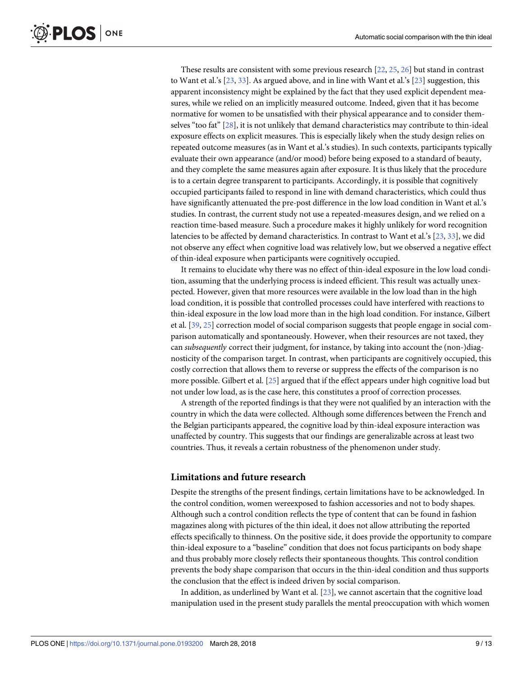These results are consistent with some previous research [[22](#page-11-0), [25](#page-11-0), [26\]](#page-11-0) but stand in contrast to Want et al.'s [[23](#page-11-0), [33](#page-11-0)]. As argued above, and in line with Want et al.'s [\[23\]](#page-11-0) suggestion, this apparent inconsistency might be explained by the fact that they used explicit dependent measures, while we relied on an implicitly measured outcome. Indeed, given that it has become normative for women to be unsatisfied with their physical appearance and to consider themselves "too fat" [[28](#page-11-0)], it is not unlikely that demand characteristics may contribute to thin-ideal exposure effects on explicit measures. This is especially likely when the study design relies on repeated outcome measures (as in Want et al.'s studies). In such contexts, participants typically evaluate their own appearance (and/or mood) before being exposed to a standard of beauty, and they complete the same measures again after exposure. It is thus likely that the procedure is to a certain degree transparent to participants. Accordingly, it is possible that cognitively occupied participants failed to respond in line with demand characteristics, which could thus have significantly attenuated the pre-post difference in the low load condition in Want et al.'s studies. In contrast, the current study not use a repeated-measures design, and we relied on a reaction time-based measure. Such a procedure makes it highly unlikely for word recognition latencies to be affected by demand characteristics. In contrast to Want et al.'s [\[23,](#page-11-0) [33\]](#page-11-0), we did not observe any effect when cognitive load was relatively low, but we observed a negative effect of thin-ideal exposure when participants were cognitively occupied.

It remains to elucidate why there was no effect of thin-ideal exposure in the low load condition, assuming that the underlying process is indeed efficient. This result was actually unexpected. However, given that more resources were available in the low load than in the high load condition, it is possible that controlled processes could have interfered with reactions to thin-ideal exposure in the low load more than in the high load condition. For instance, Gilbert et al. [\[39,](#page-11-0) [25\]](#page-11-0) correction model of social comparison suggests that people engage in social comparison automatically and spontaneously. However, when their resources are not taxed, they can *subsequently* correct their judgment, for instance, by taking into account the (non-)diagnosticity of the comparison target. In contrast, when participants are cognitively occupied, this costly correction that allows them to reverse or suppress the effects of the comparison is no more possible. Gilbert et al. [\[25\]](#page-11-0) argued that if the effect appears under high cognitive load but not under low load, as is the case here, this constitutes a proof of correction processes.

A strength of the reported findings is that they were not qualified by an interaction with the country in which the data were collected. Although some differences between the French and the Belgian participants appeared, the cognitive load by thin-ideal exposure interaction was unaffected by country. This suggests that our findings are generalizable across at least two countries. Thus, it reveals a certain robustness of the phenomenon under study.

#### **Limitations and future research**

Despite the strengths of the present findings, certain limitations have to be acknowledged. In the control condition, women wereexposed to fashion accessories and not to body shapes. Although such a control condition reflects the type of content that can be found in fashion magazines along with pictures of the thin ideal, it does not allow attributing the reported effects specifically to thinness. On the positive side, it does provide the opportunity to compare thin-ideal exposure to a "baseline" condition that does not focus participants on body shape and thus probably more closely reflects their spontaneous thoughts. This control condition prevents the body shape comparison that occurs in the thin-ideal condition and thus supports the conclusion that the effect is indeed driven by social comparison.

In addition, as underlined by Want et al. [\[23\]](#page-11-0), we cannot ascertain that the cognitive load manipulation used in the present study parallels the mental preoccupation with which women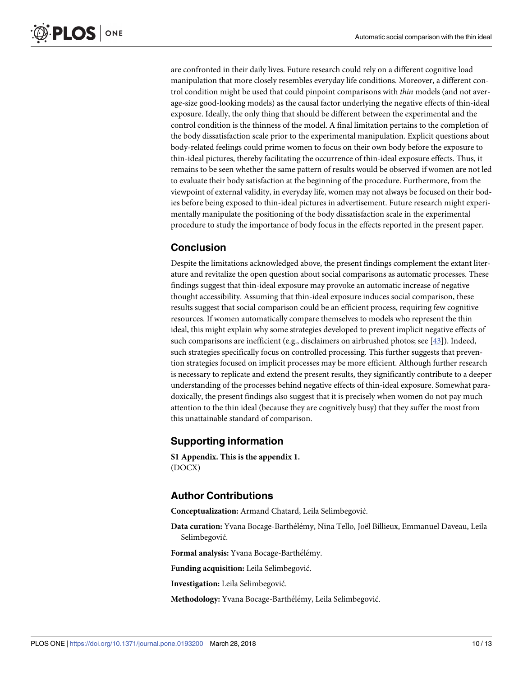<span id="page-9-0"></span>are confronted in their daily lives. Future research could rely on a different cognitive load manipulation that more closely resembles everyday life conditions. Moreover, a different control condition might be used that could pinpoint comparisons with *thin* models (and not average-size good-looking models) as the causal factor underlying the negative effects of thin-ideal exposure. Ideally, the only thing that should be different between the experimental and the control condition is the thinness of the model. A final limitation pertains to the completion of the body dissatisfaction scale prior to the experimental manipulation. Explicit questions about body-related feelings could prime women to focus on their own body before the exposure to thin-ideal pictures, thereby facilitating the occurrence of thin-ideal exposure effects. Thus, it remains to be seen whether the same pattern of results would be observed if women are not led to evaluate their body satisfaction at the beginning of the procedure. Furthermore, from the viewpoint of external validity, in everyday life, women may not always be focused on their bodies before being exposed to thin-ideal pictures in advertisement. Future research might experimentally manipulate the positioning of the body dissatisfaction scale in the experimental procedure to study the importance of body focus in the effects reported in the present paper.

# **Conclusion**

Despite the limitations acknowledged above, the present findings complement the extant literature and revitalize the open question about social comparisons as automatic processes. These findings suggest that thin-ideal exposure may provoke an automatic increase of negative thought accessibility. Assuming that thin-ideal exposure induces social comparison, these results suggest that social comparison could be an efficient process, requiring few cognitive resources. If women automatically compare themselves to models who represent the thin ideal, this might explain why some strategies developed to prevent implicit negative effects of such comparisons are inefficient (e.g., disclaimers on airbrushed photos; see [\[43\]](#page-12-0)). Indeed, such strategies specifically focus on controlled processing. This further suggests that prevention strategies focused on implicit processes may be more efficient. Although further research is necessary to replicate and extend the present results, they significantly contribute to a deeper understanding of the processes behind negative effects of thin-ideal exposure. Somewhat paradoxically, the present findings also suggest that it is precisely when women do not pay much attention to the thin ideal (because they are cognitively busy) that they suffer the most from this unattainable standard of comparison.

## **Supporting information**

**S1 [Appendix](http://www.plosone.org/article/fetchSingleRepresentation.action?uri=info:doi/10.1371/journal.pone.0193200.s001). This is the appendix 1.** (DOCX)

## **Author Contributions**

**Conceptualization:** Armand Chatard, Leila Selimbegović.

Data curation: Yvana Bocage-Barthélémy, Nina Tello, Joël Billieux, Emmanuel Daveau, Leila Selimbegović.

**Formal analysis:** Yvana Bocage-Barthélémy.

**Funding acquisition:** Leila Selimbegović.

**Investigation:** Leila Selimbegović.

**Methodology:** Yvana Bocage-Barthélémy, Leila Selimbegović.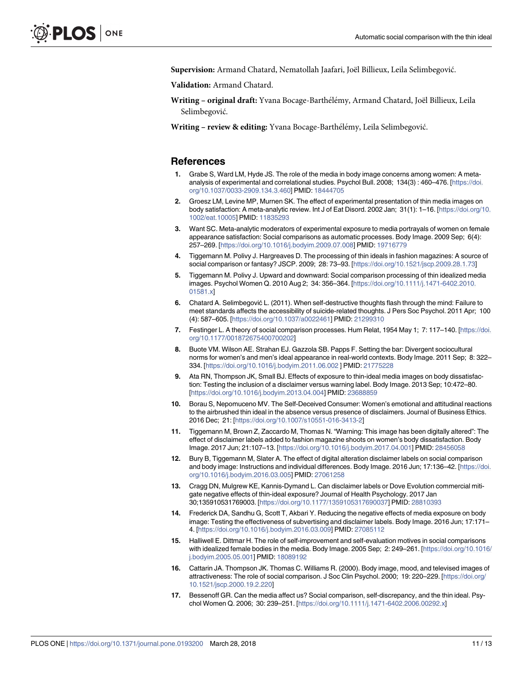<span id="page-10-0"></span>Supervision: Armand Chatard, Nematollah Jaafari, Joël Billieux, Leila Selimbegović.

**Validation:** Armand Chatard.

**Writing** – **original draft:** Yvana Bocage-Barthélémy, Armand Chatard, Joël Billieux, Leila Selimbegović.

**Writing - review & editing:** Yvana Bocage-Barthélémy, Leila Selimbegović.

#### **References**

- **[1](#page-0-0).** Grabe S, Ward LM, Hyde JS. The role of the media in body image concerns among women: A metaanalysis of experimental and correlational studies. Psychol Bull. 2008; 134(3) : 460–476. [\[https://doi.](https://doi.org/10.1037/0033-2909.134.3.460) [org/10.1037/0033-2909.134.3.460](https://doi.org/10.1037/0033-2909.134.3.460)] PMID: [18444705](http://www.ncbi.nlm.nih.gov/pubmed/18444705)
- **2.** Groesz LM, Levine MP, Murnen SK. The effect of experimental presentation of thin media images on body satisfaction: A meta-analytic review. Int J of Eat Disord. 2002 Jan; 31(1): 1–16. [\[https://doi.org/10.](https://doi.org/10.1002/eat.10005) [1002/eat.10005](https://doi.org/10.1002/eat.10005)] PMID: [11835293](http://www.ncbi.nlm.nih.gov/pubmed/11835293)
- **[3](#page-0-0).** Want SC. Meta-analytic moderators of experimental exposure to media portrayals of women on female appearance satisfaction: Social comparisons as automatic processes. Body Image. 2009 Sep; 6(4): 257–269. [\[https://doi.org/10.1016/j.bodyim.2009.07.008\]](https://doi.org/10.1016/j.bodyim.2009.07.008) PMID: [19716779](http://www.ncbi.nlm.nih.gov/pubmed/19716779)
- **[4](#page-0-0).** Tiggemann M. Polivy J. Hargreaves D. The processing of thin ideals in fashion magazines: A source of social comparison or fantasy? JSCP. 2009; 28: 73–93. [<https://doi.org/10.1521/jscp.2009.28.1.73>]
- **[5](#page-0-0).** Tiggemann M. Polivy J. Upward and downward: Social comparison processing of thin idealized media images. Psychol Women Q. 2010 Aug 2; 34: 356–364. [[https://doi.org/10.1111/j.1471-6402.2010.](https://doi.org/10.1111/j.1471-6402.2010.01581.x) [01581.x](https://doi.org/10.1111/j.1471-6402.2010.01581.x)]
- **[6](#page-0-0).** Chatard A. Selimbegović L. (2011). When self-destructive thoughts flash through the mind: Failure to meet standards affects the accessibility of suicide-related thoughts. J Pers Soc Psychol. 2011 Apr; 100 (4): 587–605. [<https://doi.org/10.1037/a0022461>] PMID: [21299310](http://www.ncbi.nlm.nih.gov/pubmed/21299310)
- **[7](#page-0-0).** Festinger L. A theory of social comparison processes. Hum Relat, 1954 May 1; 7: 117–140. [\[https://doi.](https://doi.org/10.1177/001872675400700202) [org/10.1177/001872675400700202](https://doi.org/10.1177/001872675400700202)]
- **[8](#page-1-0).** Buote VM. Wilson AE. Strahan EJ. Gazzola SB. Papps F. Setting the bar: Divergent sociocultural norms for women's and men's ideal appearance in real-world contexts. Body Image. 2011 Sep; 8: 322– 334. [<https://doi.org/10.1016/j.bodyim.2011.06.002> ] PMID: [21775228](http://www.ncbi.nlm.nih.gov/pubmed/21775228)
- **[9](#page-1-0).** Ata RN, Thompson JK, Small BJ. Effects of exposure to thin-ideal media images on body dissatisfaction: Testing the inclusion of a disclaimer versus warning label. Body Image. 2013 Sep; 10:472–80. [<https://doi.org/10.1016/j.bodyim.2013.04.004>] PMID: [23688859](http://www.ncbi.nlm.nih.gov/pubmed/23688859)
- **10.** Borau S, Nepomuceno MV. The Self-Deceived Consumer: Women's emotional and attitudinal reactions to the airbrushed thin ideal in the absence versus presence of disclaimers. Journal of Business Ethics. 2016 Dec; 21: [\[https://doi.org/10.1007/s10551-016-3413-2](https://doi.org/10.1007/s10551-016-3413-2)]
- **11.** Tiggemann M, Brown Z, Zaccardo M, Thomas N. "Warning: This image has been digitally altered": The effect of disclaimer labels added to fashion magazine shoots on women's body dissatisfaction. Body Image. 2017 Jun; 21:107–13. [\[https://doi.org/10.1016/j.bodyim.2017.04.001](https://doi.org/10.1016/j.bodyim.2017.04.001)] PMID: [28456058](http://www.ncbi.nlm.nih.gov/pubmed/28456058)
- **12.** Bury B, Tiggemann M, Slater A. The effect of digital alteration disclaimer labels on social comparison and body image: Instructions and individual differences. Body Image. 2016 Jun; 17:136–42. [[https://doi.](https://doi.org/10.1016/j.bodyim.2016.03.005) [org/10.1016/j.bodyim.2016.03.005\]](https://doi.org/10.1016/j.bodyim.2016.03.005) PMID: [27061258](http://www.ncbi.nlm.nih.gov/pubmed/27061258)
- **13.** Cragg DN, Mulgrew KE, Kannis-Dymand L. Can disclaimer labels or Dove Evolution commercial mitigate negative effects of thin-ideal exposure? Journal of Health Psychology. 2017 Jan 30;135910531769003. [\[https://doi.org/10.1177/1359105317690037](https://doi.org/10.1177/1359105317690037)] PMID: [28810393](http://www.ncbi.nlm.nih.gov/pubmed/28810393)
- **[14](#page-1-0).** Frederick DA, Sandhu G, Scott T, Akbari Y. Reducing the negative effects of media exposure on body image: Testing the effectiveness of subvertising and disclaimer labels. Body Image. 2016 Jun; 17:171– 4. [\[https://doi.org/10.1016/j.bodyim.2016.03.009\]](https://doi.org/10.1016/j.bodyim.2016.03.009) PMID: [27085112](http://www.ncbi.nlm.nih.gov/pubmed/27085112)
- **[15](#page-1-0).** Halliwell E. Dittmar H. The role of self-improvement and self-evaluation motives in social comparisons with idealized female bodies in the media. Body Image. 2005 Sep; 2: 249–261. [\[https://doi.org/10.1016/](https://doi.org/10.1016/j.bodyim.2005.05.001) [j.bodyim.2005.05.001\]](https://doi.org/10.1016/j.bodyim.2005.05.001) PMID: [18089192](http://www.ncbi.nlm.nih.gov/pubmed/18089192)
- **[16](#page-1-0).** Cattarin JA. Thompson JK. Thomas C. Williams R. (2000). Body image, mood, and televised images of attractiveness: The role of social comparison. J Soc Clin Psychol. 2000; 19: 220–229. [\[https://doi.org/](https://doi.org/10.1521/jscp.2000.19.2.220) [10.1521/jscp.2000.19.2.220\]](https://doi.org/10.1521/jscp.2000.19.2.220)
- **[17](#page-1-0).** Bessenoff GR. Can the media affect us? Social comparison, self-discrepancy, and the thin ideal. Psychol Women Q. 2006; 30: 239–251. [\[https://doi.org/10.1111/j.1471-6402.2006.00292.x](https://doi.org/10.1111/j.1471-6402.2006.00292.x)]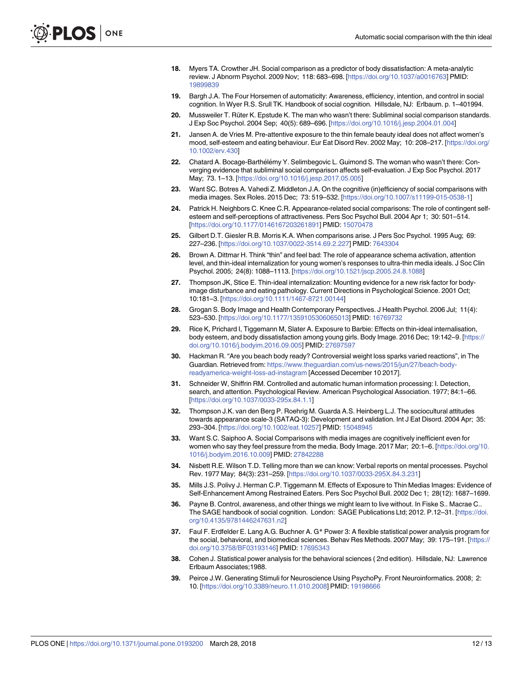- <span id="page-11-0"></span>**[18](#page-1-0).** Myers TA. Crowther JH. Social comparison as a predictor of body dissatisfaction: A meta-analytic review. J Abnorm Psychol. 2009 Nov; 118: 683–698. [\[https://doi.org/10.1037/a0016763\]](https://doi.org/10.1037/a0016763) PMID: [19899839](http://www.ncbi.nlm.nih.gov/pubmed/19899839)
- **[19](#page-1-0).** Bargh J.A. The Four Horsemen of automaticity: Awareness, efficiency, intention, and control in social cognition. In Wyer R.S. Srull TK. Handbook of social cognition. Hillsdale, NJ: Erlbaum. p. 1–401994.
- **[20](#page-1-0).** Mussweiler T. Rüter K. Epstude K. The man who wasn't there: Subliminal social comparison standards. J Exp Soc Psychol. 2004 Sep; 40(5): 689–696. [\[https://doi.org/10.1016/j.jesp.2004.01.004\]](https://doi.org/10.1016/j.jesp.2004.01.004)
- **[21](#page-1-0).** Jansen A. de Vries M. Pre-attentive exposure to the thin female beauty ideal does not affect women's mood, self-esteem and eating behaviour. Eur Eat Disord Rev. 2002 May; 10: 208–217. [\[https://doi.org/](https://doi.org/10.1002/erv.430) [10.1002/erv.430](https://doi.org/10.1002/erv.430)]
- **[22](#page-2-0).** Chatard A. Bocage-Barthélémy Y. Selimbegovic L. Guimond S. The woman who wasn't there: Converging evidence that subliminal social comparison affects self-evaluation. J Exp Soc Psychol. 2017 May; 73. 1–13. [\[https://doi.org/10.1016/j.jesp.2017.05.005](https://doi.org/10.1016/j.jesp.2017.05.005)]
- **[23](#page-2-0).** Want SC. Botres A. Vahedi Z. Middleton J.A. On the cognitive (in)efficiency of social comparisons with media images. Sex Roles. 2015 Dec; 73: 519–532. [[https://doi.org/10.1007/s11199-015-0538-1\]](https://doi.org/10.1007/s11199-015-0538-1)
- **[24](#page-2-0).** Patrick H. Neighbors C. Knee C.R. Appearance-related social comparisons: The role of contingent selfesteem and self-perceptions of attractiveness. Pers Soc Psychol Bull. 2004 Apr 1; 30: 501–514. [<https://doi.org/10.1177/0146167203261891>] PMID: [15070478](http://www.ncbi.nlm.nih.gov/pubmed/15070478)
- **[25](#page-2-0).** Gilbert D.T. Giesler R.B. Morris K.A. When comparisons arise. J Pers Soc Psychol. 1995 Aug; 69: 227–236. [\[https://doi.org/10.1037/0022-3514.69.2.227\]](https://doi.org/10.1037/0022-3514.69.2.227) PMID: [7643304](http://www.ncbi.nlm.nih.gov/pubmed/7643304)
- **[26](#page-2-0).** Brown A. Dittmar H. Think "thin" and feel bad: The role of appearance schema activation, attention level, and thin-ideal internalization for young women's responses to ultra-thin media ideals. J Soc Clin Psychol. 2005; 24(8): 1088–1113. [<https://doi.org/10.1521/jscp.2005.24.8.1088>]
- **[27](#page-3-0).** Thompson JK, Stice E. Thin-ideal internalization: Mounting evidence for a new risk factor for bodyimage disturbance and eating pathology. Current Directions in Psychological Science. 2001 Oct; 10:181–3. [\[https://doi.org/10.1111/1467-8721.00144](https://doi.org/10.1111/1467-8721.00144)]
- **[28](#page-3-0).** Grogan S. Body Image and Health Contemporary Perspectives. J Health Psychol. 2006 Jul; 11(4): 523–530. [\[https://doi.org/10.1177/1359105306065013](https://doi.org/10.1177/1359105306065013)] PMID: [16769732](http://www.ncbi.nlm.nih.gov/pubmed/16769732)
- **[29](#page-3-0).** Rice K, Prichard I, Tiggemann M, Slater A. Exposure to Barbie: Effects on thin-ideal internalisation, body esteem, and body dissatisfaction among young girls. Body Image. 2016 Dec; 19:142–9. [[https://](https://doi.org/10.1016/j.bodyim.2016.09.005) [doi.org/10.1016/j.bodyim.2016.09.005](https://doi.org/10.1016/j.bodyim.2016.09.005)] PMID: [27697597](http://www.ncbi.nlm.nih.gov/pubmed/27697597)
- **[30](#page-3-0).** Hackman R. "Are you beach body ready? Controversial weight loss sparks varied reactions", in The Guardian. Retrieved from: [https://www.theguardian.com/us-news/2015/jun/27/beach-body](https://www.theguardian.com/us-news/2015/jun/27/beach-body-readyamerica-weight-loss-ad-instagram)[readyamerica-weight-loss-ad-instagram](https://www.theguardian.com/us-news/2015/jun/27/beach-body-readyamerica-weight-loss-ad-instagram) [Accessed December 10 2017].
- **[31](#page-3-0).** Schneider W, Shiffrin RM. Controlled and automatic human information processing: I. Detection, search, and attention. Psychological Review. American Psychological Association. 1977; 84:1–66. [<https://doi.org/10.1037/0033-295x.84.1.1>]
- **[32](#page-3-0).** Thompson J.K. van den Berg P. Roehrig M. Guarda A.S. Heinberg L.J. The sociocultural attitudes towards appearance scale-3 (SATAQ-3): Development and validation. Int J Eat Disord. 2004 Apr; 35: 293–304. [\[https://doi.org/10.1002/eat.10257\]](https://doi.org/10.1002/eat.10257) PMID: [15048945](http://www.ncbi.nlm.nih.gov/pubmed/15048945)
- **[33](#page-3-0).** Want S.C. Saiphoo A. Social Comparisons with media images are cognitively inefficient even for women who say they feel pressure from the media. Body Image. 2017 Mar; 20:1–6. [\[https://doi.org/10.](https://doi.org/10.1016/j.bodyim.2016.10.009) [1016/j.bodyim.2016.10.009](https://doi.org/10.1016/j.bodyim.2016.10.009)] PMID: [27842288](http://www.ncbi.nlm.nih.gov/pubmed/27842288)
- **[34](#page-4-0).** Nisbett R.E. Wilson T.D. Telling more than we can know: Verbal reports on mental processes. Psychol Rev. 1977 May; 84(3): 231–259. [\[https://doi.org/10.1037/0033-295X.84.3.231](https://doi.org/10.1037/0033-295X.84.3.231)]
- **[35](#page-4-0).** Mills J.S. Polivy J. Herman C.P. Tiggemann M. Effects of Exposure to Thin Medias Images: Evidence of Self-Enhancement Among Restrained Eaters. Pers Soc Psychol Bull. 2002 Dec 1; 28(12): 1687–1699.
- **[36](#page-4-0).** Payne B. Control, awareness, and other things we might learn to live without. In Fiske S.. Macrae C.. The SAGE handbook of social cognition. London: SAGE Publications Ltd; 2012. P.12–31. [[https://doi.](https://doi.org/10.4135/9781446247631.n2) [org/10.4135/9781446247631.n2](https://doi.org/10.4135/9781446247631.n2)]
- **[37](#page-4-0).** Faul F. Erdfelder E. Lang A.G. Buchner A. G\* Power 3: A flexible statistical power analysis program for the social, behavioral, and biomedical sciences. Behav Res Methods. 2007 May; 39: 175–191. [\[https://](https://doi.org/10.3758/BF03193146) [doi.org/10.3758/BF03193146](https://doi.org/10.3758/BF03193146)] PMID: [17695343](http://www.ncbi.nlm.nih.gov/pubmed/17695343)
- **[38](#page-4-0).** Cohen J. Statistical power analysis for the behavioral sciences ( 2nd edition). Hillsdale, NJ: Lawrence Erlbaum Associates;1988.
- **[39](#page-5-0).** Peirce J.W. Generating Stimuli for Neuroscience Using PsychoPy. Front Neuroinformatics. 2008; 2: 10. [\[https://doi.org/10.3389/neuro.11.010.2008\]](https://doi.org/10.3389/neuro.11.010.2008) PMID: [19198666](http://www.ncbi.nlm.nih.gov/pubmed/19198666)